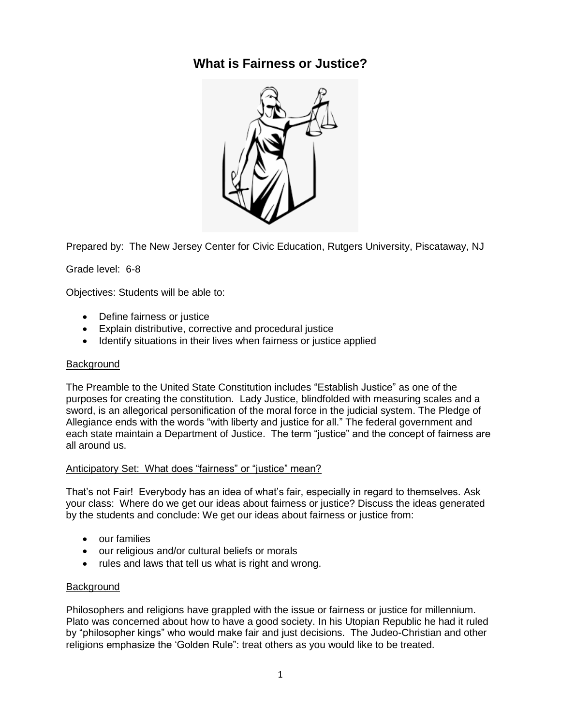## **What is Fairness or Justice?**



Prepared by: The New Jersey Center for Civic Education, Rutgers University, Piscataway, NJ

Grade level: 6-8

Objectives: Students will be able to:

- Define fairness or justice
- Explain distributive, corrective and procedural justice
- Identify situations in their lives when fairness or justice applied

#### **Background**

The Preamble to the United State Constitution includes "Establish Justice" as one of the purposes for creating the constitution. Lady Justice, blindfolded with measuring scales and a sword, is an allegorical personification of the moral force in the judicial system. The Pledge of Allegiance ends with the words "with liberty and justice for all." The federal government and each state maintain a Department of Justice. The term "justice" and the concept of fairness are all around us.

### Anticipatory Set: What does "fairness" or "justice" mean?

That's not Fair! Everybody has an idea of what's fair, especially in regard to themselves. Ask your class: Where do we get our ideas about fairness or justice? Discuss the ideas generated by the students and conclude: We get our ideas about fairness or justice from:

- our families
- our religious and/or cultural beliefs or morals
- rules and laws that tell us what is right and wrong.

### **Background**

Philosophers and religions have grappled with the issue or fairness or justice for millennium. Plato was concerned about how to have a good society. In his Utopian Republic he had it ruled by "philosopher kings" who would make fair and just decisions. The Judeo-Christian and other religions emphasize the 'Golden Rule": treat others as you would like to be treated.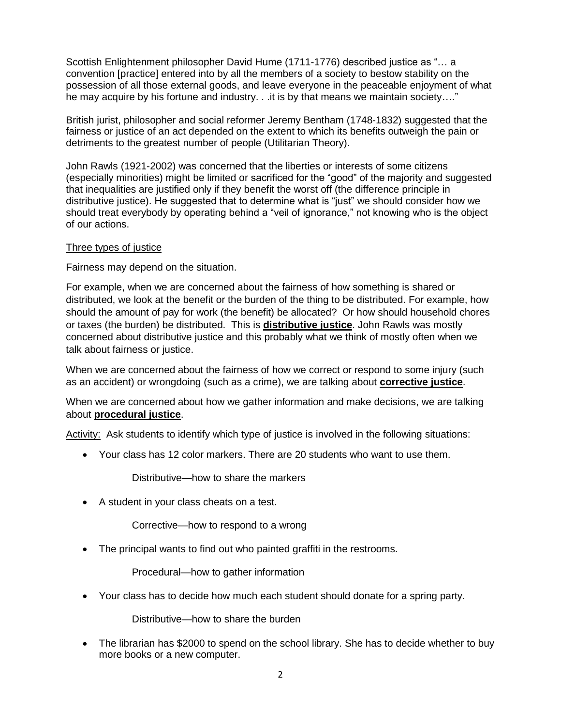Scottish Enlightenment philosopher David Hume (1711-1776) described justice as "… a convention [practice] entered into by all the members of a society to bestow stability on the possession of all those external goods, and leave everyone in the peaceable enjoyment of what he may acquire by his fortune and industry. . . it is by that means we maintain society...."

British jurist, philosopher and social reformer Jeremy Bentham (1748-1832) suggested that the fairness or justice of an act depended on the extent to which its benefits outweigh the pain or detriments to the greatest number of people (Utilitarian Theory).

John Rawls (1921-2002) was concerned that the liberties or interests of some citizens (especially minorities) might be limited or sacrificed for the "good" of the majority and suggested that inequalities are justified only if they benefit the worst off (the difference principle in distributive justice). He suggested that to determine what is "just" we should consider how we should treat everybody by operating behind a "veil of ignorance," not knowing who is the object of our actions.

#### Three types of justice

Fairness may depend on the situation.

For example, when we are concerned about the fairness of how something is shared or distributed, we look at the benefit or the burden of the thing to be distributed. For example, how should the amount of pay for work (the benefit) be allocated? Or how should household chores or taxes (the burden) be distributed. This is **distributive justice**. John Rawls was mostly concerned about distributive justice and this probably what we think of mostly often when we talk about fairness or justice.

When we are concerned about the fairness of how we correct or respond to some injury (such as an accident) or wrongdoing (such as a crime), we are talking about **corrective justice**.

When we are concerned about how we gather information and make decisions, we are talking about **procedural justice**.

Activity: Ask students to identify which type of justice is involved in the following situations:

Your class has 12 color markers. There are 20 students who want to use them.

Distributive—how to share the markers

A student in your class cheats on a test.

Corrective—how to respond to a wrong

• The principal wants to find out who painted graffiti in the restrooms.

Procedural—how to gather information

Your class has to decide how much each student should donate for a spring party.

Distributive—how to share the burden

• The librarian has \$2000 to spend on the school library. She has to decide whether to buy more books or a new computer.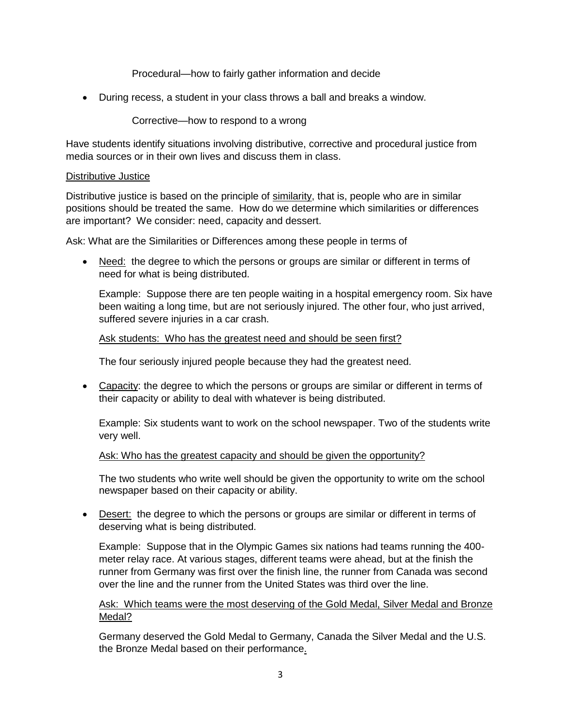Procedural—how to fairly gather information and decide

During recess, a student in your class throws a ball and breaks a window.

Corrective—how to respond to a wrong

Have students identify situations involving distributive, corrective and procedural justice from media sources or in their own lives and discuss them in class.

#### Distributive Justice

Distributive justice is based on the principle of similarity, that is, people who are in similar positions should be treated the same. How do we determine which similarities or differences are important? We consider: need, capacity and dessert.

Ask: What are the Similarities or Differences among these people in terms of

• Need: the degree to which the persons or groups are similar or different in terms of need for what is being distributed.

Example: Suppose there are ten people waiting in a hospital emergency room. Six have been waiting a long time, but are not seriously injured. The other four, who just arrived, suffered severe injuries in a car crash.

#### Ask students: Who has the greatest need and should be seen first?

The four seriously injured people because they had the greatest need.

 Capacity: the degree to which the persons or groups are similar or different in terms of their capacity or ability to deal with whatever is being distributed.

Example: Six students want to work on the school newspaper. Two of the students write very well.

#### Ask: Who has the greatest capacity and should be given the opportunity?

The two students who write well should be given the opportunity to write om the school newspaper based on their capacity or ability.

• Desert: the degree to which the persons or groups are similar or different in terms of deserving what is being distributed.

Example: Suppose that in the Olympic Games six nations had teams running the 400 meter relay race. At various stages, different teams were ahead, but at the finish the runner from Germany was first over the finish line, the runner from Canada was second over the line and the runner from the United States was third over the line.

### Ask: Which teams were the most deserving of the Gold Medal, Silver Medal and Bronze Medal?

Germany deserved the Gold Medal to Germany, Canada the Silver Medal and the U.S. the Bronze Medal based on their performance.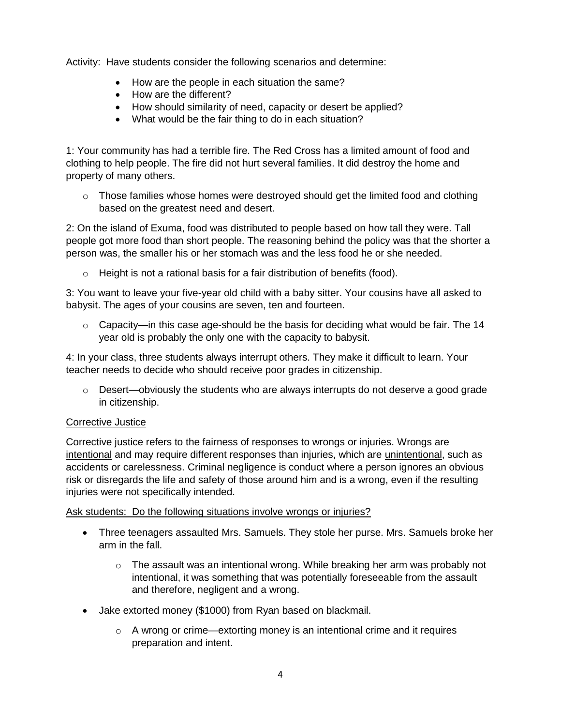Activity: Have students consider the following scenarios and determine:

- How are the people in each situation the same?
- How are the different?
- How should similarity of need, capacity or desert be applied?
- What would be the fair thing to do in each situation?

1: Your community has had a terrible fire. The Red Cross has a limited amount of food and clothing to help people. The fire did not hurt several families. It did destroy the home and property of many others.

 $\circ$  Those families whose homes were destroyed should get the limited food and clothing based on the greatest need and desert.

2: On the island of Exuma, food was distributed to people based on how tall they were. Tall people got more food than short people. The reasoning behind the policy was that the shorter a person was, the smaller his or her stomach was and the less food he or she needed.

o Height is not a rational basis for a fair distribution of benefits (food).

3: You want to leave your five-year old child with a baby sitter. Your cousins have all asked to babysit. The ages of your cousins are seven, ten and fourteen.

 $\circ$  Capacity—in this case age-should be the basis for deciding what would be fair. The 14 year old is probably the only one with the capacity to babysit.

4: In your class, three students always interrupt others. They make it difficult to learn. Your teacher needs to decide who should receive poor grades in citizenship.

 $\circ$  Desert—obviously the students who are always interrupts do not deserve a good grade in citizenship.

### Corrective Justice

Corrective justice refers to the fairness of responses to wrongs or injuries. Wrongs are intentional and may require different responses than injuries, which are unintentional, such as accidents or carelessness. Criminal negligence is conduct where a person ignores an obvious risk or disregards the life and safety of those around him and is a wrong, even if the resulting injuries were not specifically intended.

Ask students: Do the following situations involve wrongs or injuries?

- Three teenagers assaulted Mrs. Samuels. They stole her purse. Mrs. Samuels broke her arm in the fall.
	- $\circ$  The assault was an intentional wrong. While breaking her arm was probably not intentional, it was something that was potentially foreseeable from the assault and therefore, negligent and a wrong.
- Jake extorted money (\$1000) from Ryan based on blackmail.
	- o A wrong or crime—extorting money is an intentional crime and it requires preparation and intent.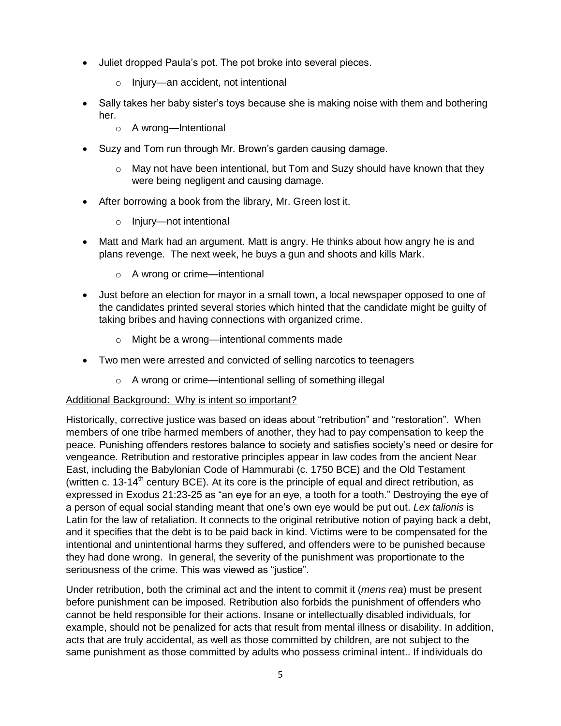- Juliet dropped Paula's pot. The pot broke into several pieces.
	- o Injury—an accident, not intentional
- Sally takes her baby sister's toys because she is making noise with them and bothering her.
	- o A wrong—Intentional
- Suzy and Tom run through Mr. Brown's garden causing damage.
	- $\circ$  May not have been intentional, but Tom and Suzy should have known that they were being negligent and causing damage.
- After borrowing a book from the library, Mr. Green lost it.
	- o Injury—not intentional
- Matt and Mark had an argument. Matt is angry. He thinks about how angry he is and plans revenge. The next week, he buys a gun and shoots and kills Mark.
	- o A wrong or crime—intentional
- Just before an election for mayor in a small town, a local newspaper opposed to one of the candidates printed several stories which hinted that the candidate might be guilty of taking bribes and having connections with organized crime.
	- o Might be a wrong—intentional comments made
- Two men were arrested and convicted of selling narcotics to teenagers
	- o A wrong or crime—intentional selling of something illegal

### Additional Background: Why is intent so important?

Historically, corrective justice was based on ideas about "retribution" and "restoration". When members of one tribe harmed members of another, they had to pay compensation to keep the peace. Punishing offenders restores balance to society and satisfies society's need or desire for vengeance. Retribution and restorative principles appear in law codes from the ancient Near East, including the Babylonian Code of Hammurabi (c. 1750 BCE) and the Old Testament (written c. 13-14<sup>th</sup> century BCE). At its core is the principle of equal and direct retribution, as expressed in Exodus 21:23-25 as "an eye for an eye, a tooth for a tooth." Destroying the eye of a person of equal social standing meant that one's own eye would be put out. *Lex talionis* is Latin for the law of retaliation. It connects to the original retributive notion of paying back a debt, and it specifies that the debt is to be paid back in kind. Victims were to be compensated for the intentional and unintentional harms they suffered, and offenders were to be punished because they had done wrong. In general, the severity of the punishment was proportionate to the seriousness of the crime. This was viewed as "justice".

Under retribution, both the criminal act and the intent to commit it (*mens rea*) must be present before punishment can be imposed. Retribution also forbids the punishment of offenders who cannot be held responsible for their actions. Insane or intellectually disabled individuals, for example, should not be penalized for acts that result from mental illness or disability. In addition, acts that are truly accidental, as well as those committed by children, are not subject to the same punishment as those committed by adults who possess criminal intent.. If individuals do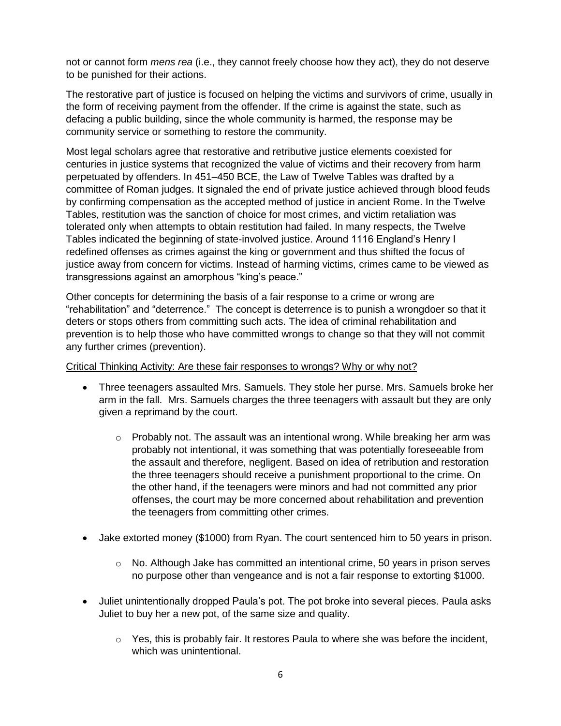not or cannot form *mens rea* (i.e., they cannot freely choose how they act), they do not deserve to be punished for their actions.

The restorative part of justice is focused on helping the victims and survivors of crime, usually in the form of receiving payment from the offender. If the crime is against the state, such as defacing a public building, since the whole community is harmed, the response may be community service or something to restore the community.

Most legal scholars agree that restorative and retributive justice elements coexisted for centuries in justice systems that recognized the value of victims and their recovery from harm perpetuated by offenders. In 451–450 BCE, the Law of Twelve Tables was drafted by a committee of Roman judges. It signaled the end of private justice achieved through blood feuds by confirming compensation as the accepted method of justice in ancient Rome. In the Twelve Tables, restitution was the sanction of choice for most crimes, and victim retaliation was tolerated only when attempts to obtain restitution had failed. In many respects, the Twelve Tables indicated the beginning of state-involved justice. Around 1116 England's Henry I redefined offenses as crimes against the king or government and thus shifted the focus of justice away from concern for victims. Instead of harming victims, crimes came to be viewed as transgressions against an amorphous "king's peace."

Other concepts for determining the basis of a fair response to a crime or wrong are "rehabilitation" and "deterrence." The concept is deterrence is to punish a wrongdoer so that it deters or stops others from committing such acts. The idea of criminal rehabilitation and prevention is to help those who have committed wrongs to change so that they will not commit any further crimes (prevention).

#### Critical Thinking Activity: Are these fair responses to wrongs? Why or why not?

- Three teenagers assaulted Mrs. Samuels. They stole her purse. Mrs. Samuels broke her arm in the fall. Mrs. Samuels charges the three teenagers with assault but they are only given a reprimand by the court.
	- $\circ$  Probably not. The assault was an intentional wrong. While breaking her arm was probably not intentional, it was something that was potentially foreseeable from the assault and therefore, negligent. Based on idea of retribution and restoration the three teenagers should receive a punishment proportional to the crime. On the other hand, if the teenagers were minors and had not committed any prior offenses, the court may be more concerned about rehabilitation and prevention the teenagers from committing other crimes.
- Jake extorted money (\$1000) from Ryan. The court sentenced him to 50 years in prison.
	- $\circ$  No. Although Jake has committed an intentional crime, 50 years in prison serves no purpose other than vengeance and is not a fair response to extorting \$1000.
- Juliet unintentionally dropped Paula's pot. The pot broke into several pieces. Paula asks Juliet to buy her a new pot, of the same size and quality.
	- $\circ$  Yes, this is probably fair. It restores Paula to where she was before the incident, which was unintentional.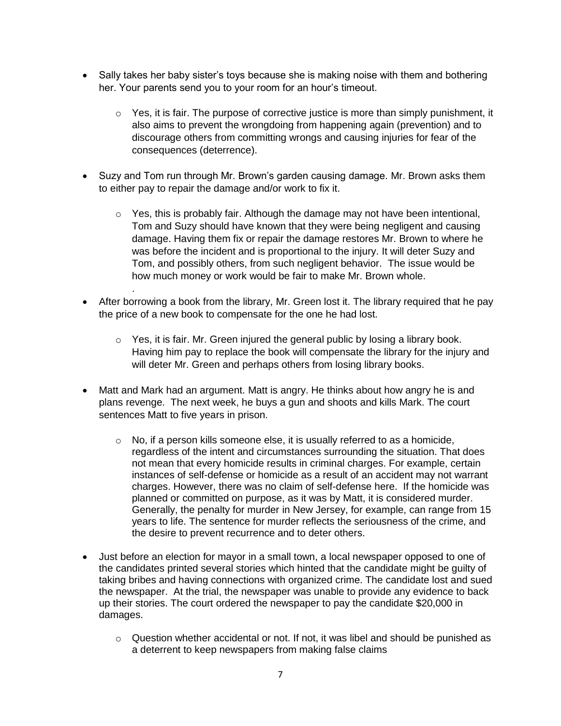- Sally takes her baby sister's toys because she is making noise with them and bothering her. Your parents send you to your room for an hour's timeout.
	- $\circ$  Yes, it is fair. The purpose of corrective justice is more than simply punishment, it also aims to prevent the wrongdoing from happening again (prevention) and to discourage others from committing wrongs and causing injuries for fear of the consequences (deterrence).
- Suzy and Tom run through Mr. Brown's garden causing damage. Mr. Brown asks them to either pay to repair the damage and/or work to fix it.
	- $\circ$  Yes, this is probably fair. Although the damage may not have been intentional, Tom and Suzy should have known that they were being negligent and causing damage. Having them fix or repair the damage restores Mr. Brown to where he was before the incident and is proportional to the injury. It will deter Suzy and Tom, and possibly others, from such negligent behavior. The issue would be how much money or work would be fair to make Mr. Brown whole.
- After borrowing a book from the library, Mr. Green lost it. The library required that he pay the price of a new book to compensate for the one he had lost.

.

- $\circ$  Yes, it is fair. Mr. Green injured the general public by losing a library book. Having him pay to replace the book will compensate the library for the injury and will deter Mr. Green and perhaps others from losing library books.
- Matt and Mark had an argument. Matt is angry. He thinks about how angry he is and plans revenge. The next week, he buys a gun and shoots and kills Mark. The court sentences Matt to five years in prison.
	- $\circ$  No, if a person kills someone else, it is usually referred to as a homicide, regardless of the intent and circumstances surrounding the situation. That does not mean that every homicide results in criminal charges. For example, certain instances of self-defense or homicide as a result of an accident may not warrant charges. However, there was no claim of self-defense here. If the homicide was planned or committed on purpose, as it was by Matt, it is considered murder. Generally, the penalty for murder in New Jersey, for example, can range from 15 years to life. The sentence for murder reflects the seriousness of the crime, and the desire to prevent recurrence and to deter others.
- Just before an election for mayor in a small town, a local newspaper opposed to one of the candidates printed several stories which hinted that the candidate might be guilty of taking bribes and having connections with organized crime. The candidate lost and sued the newspaper. At the trial, the newspaper was unable to provide any evidence to back up their stories. The court ordered the newspaper to pay the candidate \$20,000 in damages.
	- $\circ$  Question whether accidental or not. If not, it was libel and should be punished as a deterrent to keep newspapers from making false claims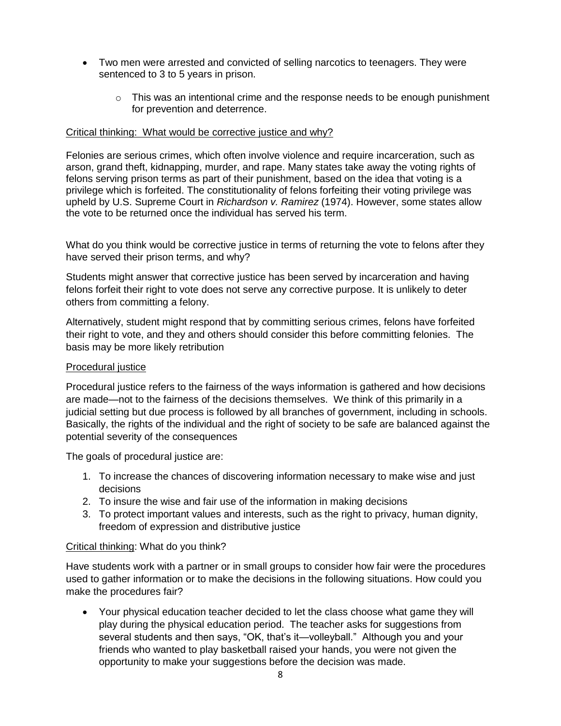- Two men were arrested and convicted of selling narcotics to teenagers. They were sentenced to 3 to 5 years in prison.
	- $\circ$  This was an intentional crime and the response needs to be enough punishment for prevention and deterrence.

### Critical thinking: What would be corrective justice and why?

Felonies are serious crimes, which often involve violence and require incarceration, such as arson, grand theft, kidnapping, murder, and rape. Many states take away the voting rights of felons serving prison terms as part of their punishment, based on the idea that voting is a privilege which is forfeited. The constitutionality of felons forfeiting their voting privilege was upheld by U.S. Supreme Court in *Richardson v. Ramirez* (1974). However, some states allow the vote to be returned once the individual has served his term.

What do you think would be corrective justice in terms of returning the vote to felons after they have served their prison terms, and why?

Students might answer that corrective justice has been served by incarceration and having felons forfeit their right to vote does not serve any corrective purpose. It is unlikely to deter others from committing a felony.

Alternatively, student might respond that by committing serious crimes, felons have forfeited their right to vote, and they and others should consider this before committing felonies. The basis may be more likely retribution

### Procedural justice

Procedural justice refers to the fairness of the ways information is gathered and how decisions are made—not to the fairness of the decisions themselves. We think of this primarily in a judicial setting but due process is followed by all branches of government, including in schools. Basically, the rights of the individual and the right of society to be safe are balanced against the potential severity of the consequences

The goals of procedural justice are:

- 1. To increase the chances of discovering information necessary to make wise and just decisions
- 2. To insure the wise and fair use of the information in making decisions
- 3. To protect important values and interests, such as the right to privacy, human dignity, freedom of expression and distributive justice

### Critical thinking: What do you think?

Have students work with a partner or in small groups to consider how fair were the procedures used to gather information or to make the decisions in the following situations. How could you make the procedures fair?

 Your physical education teacher decided to let the class choose what game they will play during the physical education period. The teacher asks for suggestions from several students and then says, "OK, that's it—volleyball." Although you and your friends who wanted to play basketball raised your hands, you were not given the opportunity to make your suggestions before the decision was made.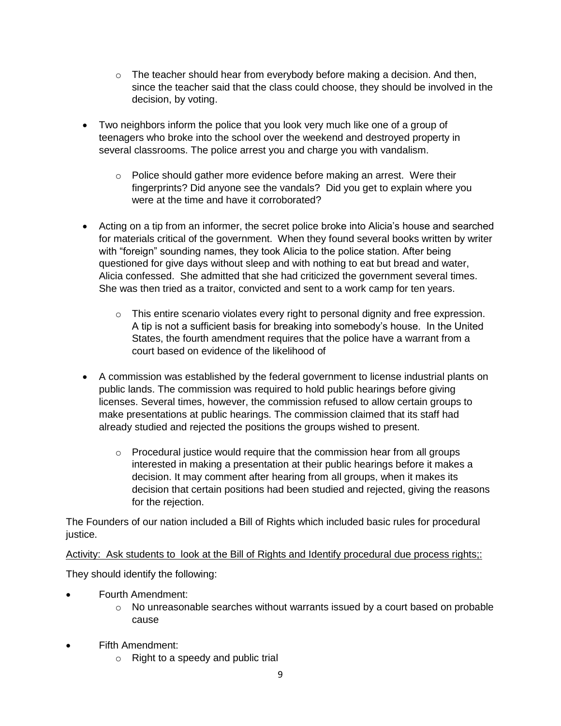- $\circ$  The teacher should hear from everybody before making a decision. And then, since the teacher said that the class could choose, they should be involved in the decision, by voting.
- Two neighbors inform the police that you look very much like one of a group of teenagers who broke into the school over the weekend and destroyed property in several classrooms. The police arrest you and charge you with vandalism.
	- o Police should gather more evidence before making an arrest. Were their fingerprints? Did anyone see the vandals? Did you get to explain where you were at the time and have it corroborated?
- Acting on a tip from an informer, the secret police broke into Alicia's house and searched for materials critical of the government. When they found several books written by writer with "foreign" sounding names, they took Alicia to the police station. After being questioned for give days without sleep and with nothing to eat but bread and water, Alicia confessed. She admitted that she had criticized the government several times. She was then tried as a traitor, convicted and sent to a work camp for ten years.
	- $\circ$  This entire scenario violates every right to personal dignity and free expression. A tip is not a sufficient basis for breaking into somebody's house. In the United States, the fourth amendment requires that the police have a warrant from a court based on evidence of the likelihood of
- A commission was established by the federal government to license industrial plants on public lands. The commission was required to hold public hearings before giving licenses. Several times, however, the commission refused to allow certain groups to make presentations at public hearings. The commission claimed that its staff had already studied and rejected the positions the groups wished to present.
	- $\circ$  Procedural justice would require that the commission hear from all groups interested in making a presentation at their public hearings before it makes a decision. It may comment after hearing from all groups, when it makes its decision that certain positions had been studied and rejected, giving the reasons for the rejection.

The Founders of our nation included a Bill of Rights which included basic rules for procedural justice.

Activity: Ask students to look at the Bill of Rights and Identify procedural due process rights;:

They should identify the following:

- Fourth Amendment:
	- $\circ$  No unreasonable searches without warrants issued by a court based on probable cause
- Fifth Amendment:
	- o Right to a speedy and public trial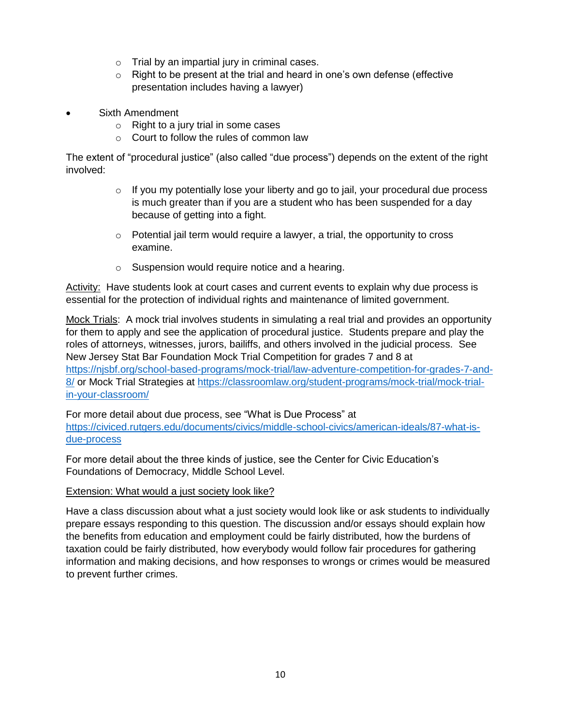- o Trial by an impartial jury in criminal cases.
- $\circ$  Right to be present at the trial and heard in one's own defense (effective presentation includes having a lawyer)
- Sixth Amendment
	- o Right to a jury trial in some cases
	- o Court to follow the rules of common law

The extent of "procedural justice" (also called "due process") depends on the extent of the right involved:

- $\circ$  If you my potentially lose your liberty and go to jail, your procedural due process is much greater than if you are a student who has been suspended for a day because of getting into a fight.
- $\circ$  Potential jail term would require a lawyer, a trial, the opportunity to cross examine.
- o Suspension would require notice and a hearing.

Activity: Have students look at court cases and current events to explain why due process is essential for the protection of individual rights and maintenance of limited government.

Mock Trials: A mock trial involves students in simulating a real trial and provides an opportunity for them to apply and see the application of procedural justice. Students prepare and play the roles of attorneys, witnesses, jurors, bailiffs, and others involved in the judicial process. See New Jersey Stat Bar Foundation Mock Trial Competition for grades 7 and 8 at [https://njsbf.org/school-based-programs/mock-trial/law-adventure-competition-for-grades-7-and-](https://njsbf.org/school-based-programs/mock-trial/law-adventure-competition-for-grades-7-and-8/)[8/](https://njsbf.org/school-based-programs/mock-trial/law-adventure-competition-for-grades-7-and-8/) or Mock Trial Strategies at [https://classroomlaw.org/student-programs/mock-trial/mock-trial](https://classroomlaw.org/student-programs/mock-trial/mock-trial-in-your-classroom/)[in-your-classroom/](https://classroomlaw.org/student-programs/mock-trial/mock-trial-in-your-classroom/)

For more detail about due process, see "What is Due Process" at [https://civiced.rutgers.edu/documents/civics/middle-school-civics/american-ideals/87-what-is](https://civiced.rutgers.edu/documents/civics/middle-school-civics/american-ideals/87-what-is-due-process)[due-process](https://civiced.rutgers.edu/documents/civics/middle-school-civics/american-ideals/87-what-is-due-process)

For more detail about the three kinds of justice, see the Center for Civic Education's Foundations of Democracy, Middle School Level.

### Extension: What would a just society look like?

Have a class discussion about what a just society would look like or ask students to individually prepare essays responding to this question. The discussion and/or essays should explain how the benefits from education and employment could be fairly distributed, how the burdens of taxation could be fairly distributed, how everybody would follow fair procedures for gathering information and making decisions, and how responses to wrongs or crimes would be measured to prevent further crimes.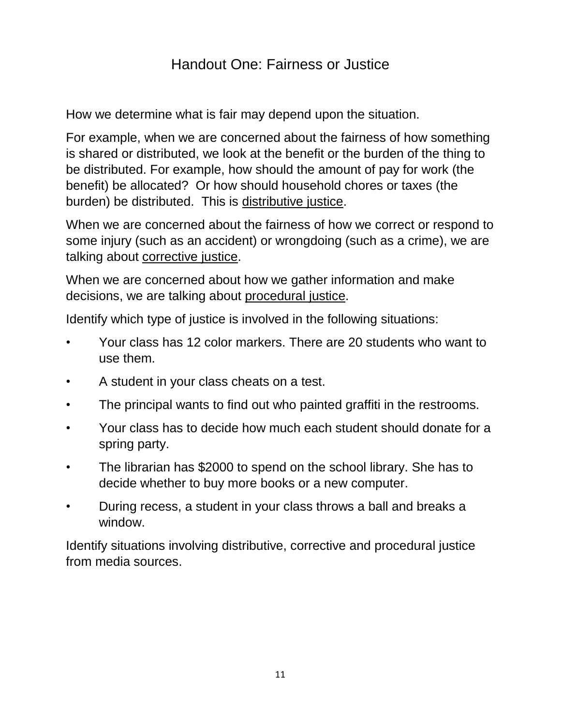# Handout One: Fairness or Justice

How we determine what is fair may depend upon the situation.

For example, when we are concerned about the fairness of how something is shared or distributed, we look at the benefit or the burden of the thing to be distributed. For example, how should the amount of pay for work (the benefit) be allocated? Or how should household chores or taxes (the burden) be distributed. This is distributive justice.

When we are concerned about the fairness of how we correct or respond to some injury (such as an accident) or wrongdoing (such as a crime), we are talking about corrective justice.

When we are concerned about how we gather information and make decisions, we are talking about procedural justice.

Identify which type of justice is involved in the following situations:

- Your class has 12 color markers. There are 20 students who want to use them.
- A student in your class cheats on a test.
- The principal wants to find out who painted graffiti in the restrooms.
- Your class has to decide how much each student should donate for a spring party.
- The librarian has \$2000 to spend on the school library. She has to decide whether to buy more books or a new computer.
- During recess, a student in your class throws a ball and breaks a window.

Identify situations involving distributive, corrective and procedural justice from media sources.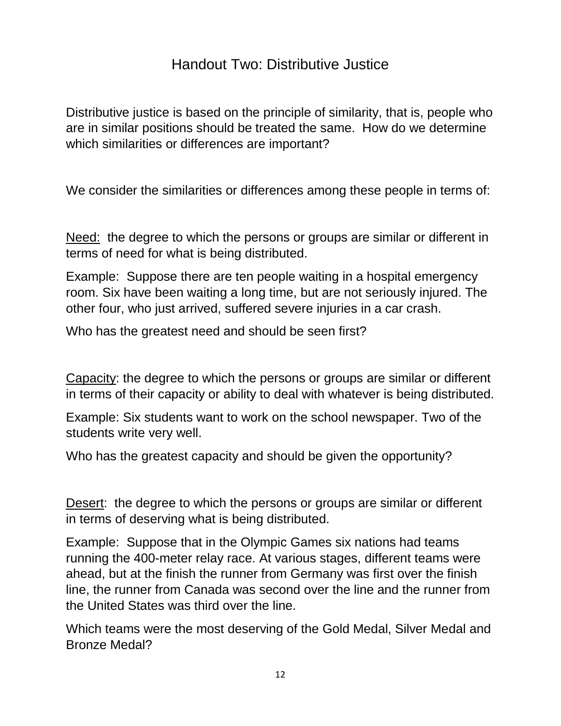# Handout Two: Distributive Justice

Distributive justice is based on the principle of similarity, that is, people who are in similar positions should be treated the same. How do we determine which similarities or differences are important?

We consider the similarities or differences among these people in terms of:

Need: the degree to which the persons or groups are similar or different in terms of need for what is being distributed.

Example: Suppose there are ten people waiting in a hospital emergency room. Six have been waiting a long time, but are not seriously injured. The other four, who just arrived, suffered severe injuries in a car crash.

Who has the greatest need and should be seen first?

Capacity: the degree to which the persons or groups are similar or different in terms of their capacity or ability to deal with whatever is being distributed.

Example: Six students want to work on the school newspaper. Two of the students write very well.

Who has the greatest capacity and should be given the opportunity?

Desert: the degree to which the persons or groups are similar or different in terms of deserving what is being distributed.

Example: Suppose that in the Olympic Games six nations had teams running the 400-meter relay race. At various stages, different teams were ahead, but at the finish the runner from Germany was first over the finish line, the runner from Canada was second over the line and the runner from the United States was third over the line.

Which teams were the most deserving of the Gold Medal, Silver Medal and Bronze Medal?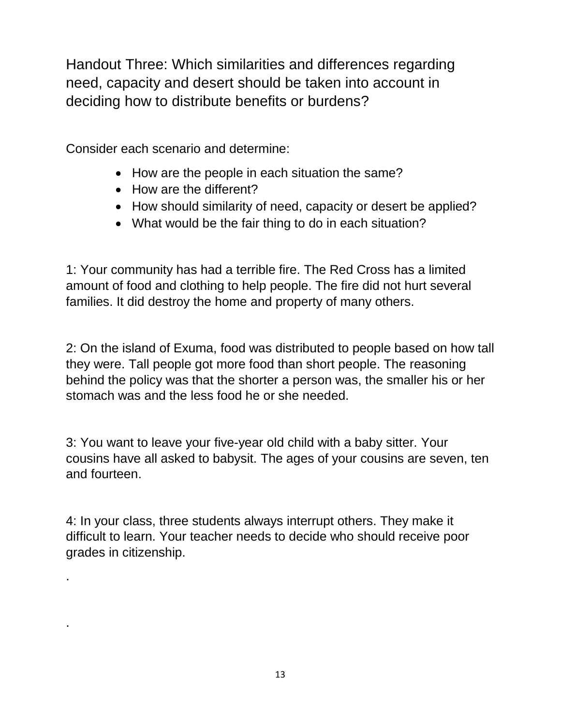Handout Three: Which similarities and differences regarding need, capacity and desert should be taken into account in deciding how to distribute benefits or burdens?

Consider each scenario and determine:

.

.

- How are the people in each situation the same?
- How are the different?
- How should similarity of need, capacity or desert be applied?
- What would be the fair thing to do in each situation?

1: Your community has had a terrible fire. The Red Cross has a limited amount of food and clothing to help people. The fire did not hurt several families. It did destroy the home and property of many others.

2: On the island of Exuma, food was distributed to people based on how tall they were. Tall people got more food than short people. The reasoning behind the policy was that the shorter a person was, the smaller his or her stomach was and the less food he or she needed.

3: You want to leave your five-year old child with a baby sitter. Your cousins have all asked to babysit. The ages of your cousins are seven, ten and fourteen.

4: In your class, three students always interrupt others. They make it difficult to learn. Your teacher needs to decide who should receive poor grades in citizenship.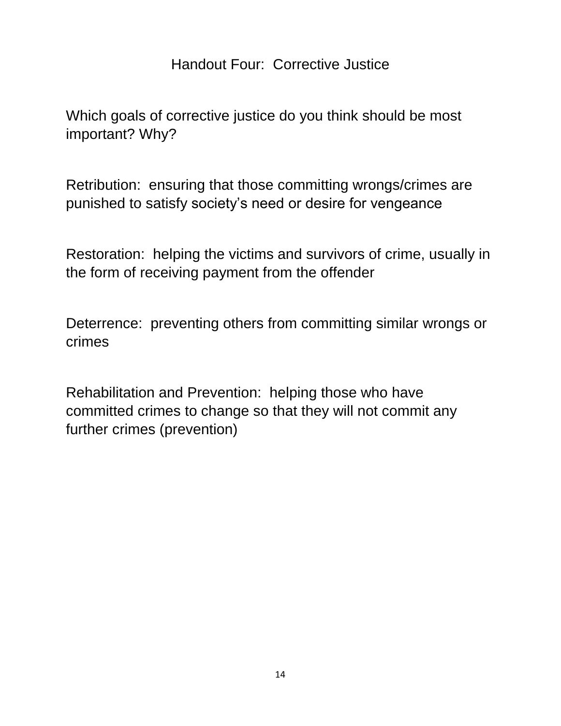# Handout Four: Corrective Justice

Which goals of corrective justice do you think should be most important? Why?

Retribution: ensuring that those committing wrongs/crimes are punished to satisfy society's need or desire for vengeance

Restoration: helping the victims and survivors of crime, usually in the form of receiving payment from the offender

Deterrence: preventing others from committing similar wrongs or crimes

Rehabilitation and Prevention: helping those who have committed crimes to change so that they will not commit any further crimes (prevention)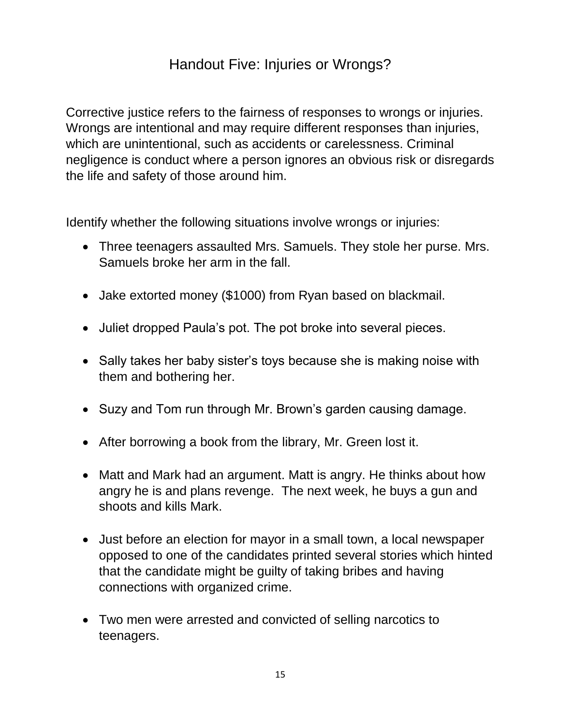# Handout Five: Injuries or Wrongs?

Corrective justice refers to the fairness of responses to wrongs or injuries. Wrongs are intentional and may require different responses than injuries, which are unintentional, such as accidents or carelessness. Criminal negligence is conduct where a person ignores an obvious risk or disregards the life and safety of those around him.

Identify whether the following situations involve wrongs or injuries:

- Three teenagers assaulted Mrs. Samuels. They stole her purse. Mrs. Samuels broke her arm in the fall.
- Jake extorted money (\$1000) from Ryan based on blackmail.
- Juliet dropped Paula's pot. The pot broke into several pieces.
- Sally takes her baby sister's toys because she is making noise with them and bothering her.
- Suzy and Tom run through Mr. Brown's garden causing damage.
- After borrowing a book from the library, Mr. Green lost it.
- Matt and Mark had an argument. Matt is angry. He thinks about how angry he is and plans revenge. The next week, he buys a gun and shoots and kills Mark.
- Just before an election for mayor in a small town, a local newspaper opposed to one of the candidates printed several stories which hinted that the candidate might be guilty of taking bribes and having connections with organized crime.
- Two men were arrested and convicted of selling narcotics to teenagers.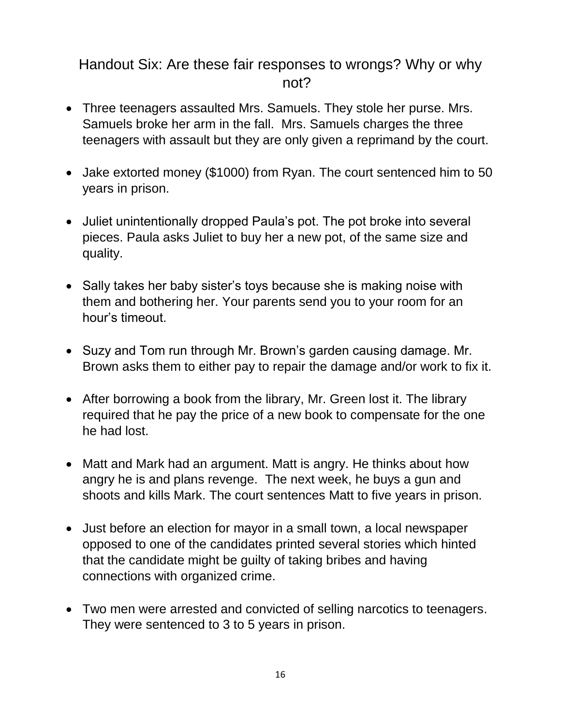# Handout Six: Are these fair responses to wrongs? Why or why not?

- Three teenagers assaulted Mrs. Samuels. They stole her purse. Mrs. Samuels broke her arm in the fall. Mrs. Samuels charges the three teenagers with assault but they are only given a reprimand by the court.
- Jake extorted money (\$1000) from Ryan. The court sentenced him to 50 years in prison.
- Juliet unintentionally dropped Paula's pot. The pot broke into several pieces. Paula asks Juliet to buy her a new pot, of the same size and quality.
- Sally takes her baby sister's toys because she is making noise with them and bothering her. Your parents send you to your room for an hour's timeout.
- Suzy and Tom run through Mr. Brown's garden causing damage. Mr. Brown asks them to either pay to repair the damage and/or work to fix it.
- After borrowing a book from the library, Mr. Green lost it. The library required that he pay the price of a new book to compensate for the one he had lost.
- Matt and Mark had an argument. Matt is angry. He thinks about how angry he is and plans revenge. The next week, he buys a gun and shoots and kills Mark. The court sentences Matt to five years in prison.
- Just before an election for mayor in a small town, a local newspaper opposed to one of the candidates printed several stories which hinted that the candidate might be guilty of taking bribes and having connections with organized crime.
- Two men were arrested and convicted of selling narcotics to teenagers. They were sentenced to 3 to 5 years in prison.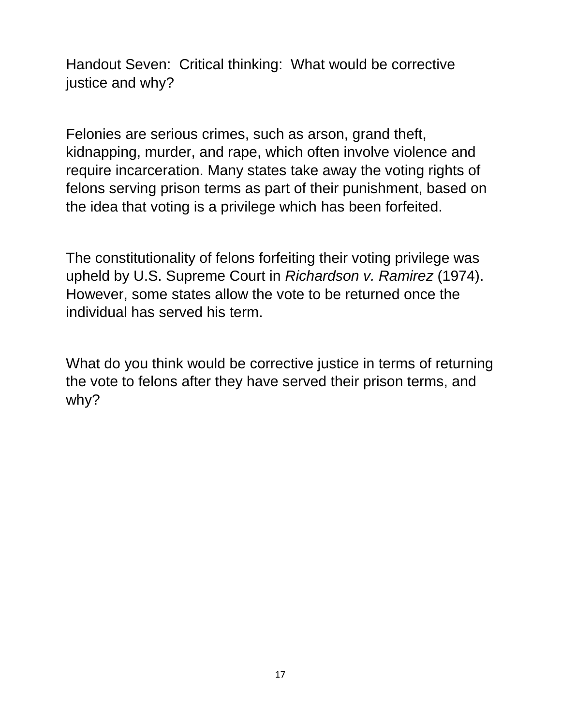Handout Seven: Critical thinking: What would be corrective justice and why?

Felonies are serious crimes, such as arson, grand theft, kidnapping, murder, and rape, which often involve violence and require incarceration. Many states take away the voting rights of felons serving prison terms as part of their punishment, based on the idea that voting is a privilege which has been forfeited.

The constitutionality of felons forfeiting their voting privilege was upheld by U.S. Supreme Court in *Richardson v. Ramirez* (1974). However, some states allow the vote to be returned once the individual has served his term.

What do you think would be corrective justice in terms of returning the vote to felons after they have served their prison terms, and why?